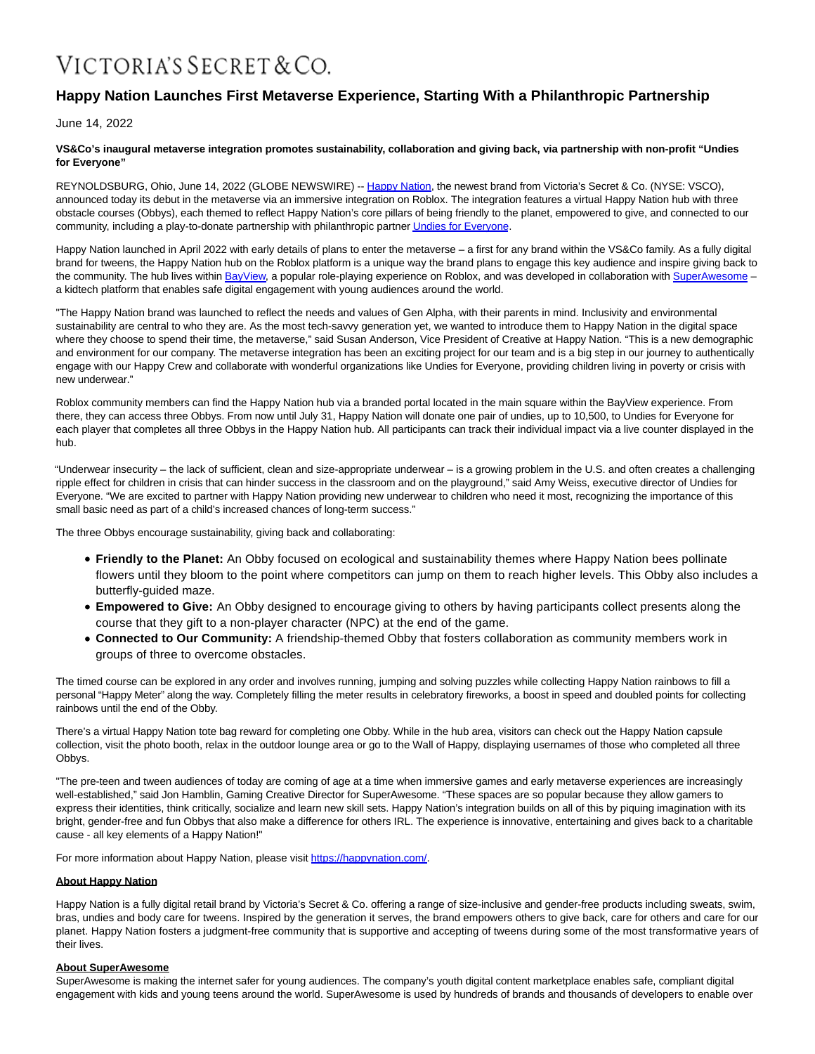# VICTORIA'S SECRET & CO.

# **Happy Nation Launches First Metaverse Experience, Starting With a Philanthropic Partnership**

June 14, 2022

#### **VS&Co's inaugural metaverse integration promotes sustainability, collaboration and giving back, via partnership with non-profit "Undies for Everyone"**

REYNOLDSBURG, Ohio, June 14, 2022 (GLOBE NEWSWIRE) -- [Happy Nation,](https://www.globenewswire.com/Tracker?data=MNzJIN6V4hTaUINcuzLnH7xXoMM6KE5OAq25TgVlSPn_AgFy4CgQoz0P7Pch6pSelQ7l_w2PgJR9EVNEJUHxoQ==) the newest brand from Victoria's Secret & Co. (NYSE: VSCO), announced today its debut in the metaverse via an immersive integration on Roblox. The integration features a virtual Happy Nation hub with three obstacle courses (Obbys), each themed to reflect Happy Nation's core pillars of being friendly to the planet, empowered to give, and connected to our community, including a play-to-donate partnership with philanthropic partne[r Undies for Everyone.](https://www.globenewswire.com/Tracker?data=FjK_BfZ0ZnmfglbxEWXYFiUGgWKGyi6iSxqBnxscxl3vWiwp9SPXQJY1Sl_Luj3t0r4y9ecAFT1yKeonizwqhJvgy0olLK4nxS0o8NKO3AA=)

Happy Nation launched in April 2022 with early details of plans to enter the metaverse – a first for any brand within the VS&Co family. As a fully digital brand for tweens, the Happy Nation hub on the Roblox platform is a unique way the brand plans to engage this key audience and inspire giving back to the community. The hub lives withi[n BayView,](https://www.globenewswire.com/Tracker?data=29qfsBcflonkSa11hL81T3jxcp2wOYMxejgEWTt5euxAw0CEJ6HUkWnClehGvP4gV556S2pwA-fTHopE6LxIyfXDMnuvXBe2f3G2nAIZIi3Mhl9QGOiU3VjORsA0dwWIsLRioM439wHyw1lxiDBkew==) a popular role-playing experience on Roblox, and was developed in collaboration with SuperAwesome a kidtech platform that enables safe digital engagement with young audiences around the world.

"The Happy Nation brand was launched to reflect the needs and values of Gen Alpha, with their parents in mind. Inclusivity and environmental sustainability are central to who they are. As the most tech-savvy generation yet, we wanted to introduce them to Happy Nation in the digital space where they choose to spend their time, the metaverse," said Susan Anderson, Vice President of Creative at Happy Nation. "This is a new demographic and environment for our company. The metaverse integration has been an exciting project for our team and is a big step in our journey to authentically engage with our Happy Crew and collaborate with wonderful organizations like Undies for Everyone, providing children living in poverty or crisis with new underwear."

Roblox community members can find the Happy Nation hub via a branded portal located in the main square within the BayView experience. From there, they can access three Obbys. From now until July 31, Happy Nation will donate one pair of undies, up to 10,500, to Undies for Everyone for each player that completes all three Obbys in the Happy Nation hub. All participants can track their individual impact via a live counter displayed in the hub.

"Underwear insecurity – the lack of sufficient, clean and size-appropriate underwear – is a growing problem in the U.S. and often creates a challenging ripple effect for children in crisis that can hinder success in the classroom and on the playground," said Amy Weiss, executive director of Undies for Everyone. "We are excited to partner with Happy Nation providing new underwear to children who need it most, recognizing the importance of this small basic need as part of a child's increased chances of long-term success."

The three Obbys encourage sustainability, giving back and collaborating:

- **Friendly to the Planet:** An Obby focused on ecological and sustainability themes where Happy Nation bees pollinate flowers until they bloom to the point where competitors can jump on them to reach higher levels. This Obby also includes a butterfly-guided maze.
- **Empowered to Give:** An Obby designed to encourage giving to others by having participants collect presents along the course that they gift to a non-player character (NPC) at the end of the game.
- **Connected to Our Community:** A friendship-themed Obby that fosters collaboration as community members work in groups of three to overcome obstacles.

The timed course can be explored in any order and involves running, jumping and solving puzzles while collecting Happy Nation rainbows to fill a personal "Happy Meter" along the way. Completely filling the meter results in celebratory fireworks, a boost in speed and doubled points for collecting rainbows until the end of the Obby.

There's a virtual Happy Nation tote bag reward for completing one Obby. While in the hub area, visitors can check out the Happy Nation capsule collection, visit the photo booth, relax in the outdoor lounge area or go to the Wall of Happy, displaying usernames of those who completed all three Obbys.

"The pre-teen and tween audiences of today are coming of age at a time when immersive games and early metaverse experiences are increasingly well-established," said Jon Hamblin, Gaming Creative Director for SuperAwesome. "These spaces are so popular because they allow gamers to express their identities, think critically, socialize and learn new skill sets. Happy Nation's integration builds on all of this by piquing imagination with its bright, gender-free and fun Obbys that also make a difference for others IRL. The experience is innovative, entertaining and gives back to a charitable cause - all key elements of a Happy Nation!"

For more information about Happy Nation, please visit https://happynation.com/.

### **About Happy Nation**

Happy Nation is a fully digital retail brand by Victoria's Secret & Co. offering a range of size-inclusive and gender-free products including sweats, swim, bras, undies and body care for tweens. Inspired by the generation it serves, the brand empowers others to give back, care for others and care for our planet. Happy Nation fosters a judgment-free community that is supportive and accepting of tweens during some of the most transformative years of their lives.

## **About SuperAwesome**

SuperAwesome is making the internet safer for young audiences. The company's youth digital content marketplace enables safe, compliant digital engagement with kids and young teens around the world. SuperAwesome is used by hundreds of brands and thousands of developers to enable over